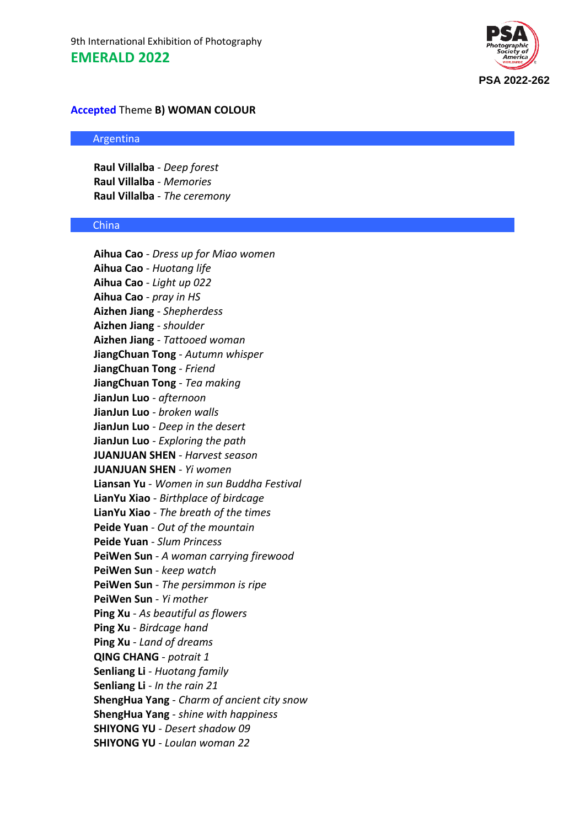

# **Accepted** Theme **B) WOMAN COLOUR**

# Argentina

**Raul Villalba** - *Deep forest* **Raul Villalba** - *Memories* **Raul Villalba** - *The ceremony*

#### China

**Aihua Cao** - *Dress up for Miao women* **Aihua Cao** - *Huotang life* **Aihua Cao** - *Light up 022* **Aihua Cao** - *pray in HS* **Aizhen Jiang** - *Shepherdess* **Aizhen Jiang** - *shoulder* **Aizhen Jiang** - *Tattooed woman* **JiangChuan Tong** - *Autumn whisper* **JiangChuan Tong** - *Friend* **JiangChuan Tong** - *Tea making* **JianJun Luo** - *afternoon* **JianJun Luo** - *broken walls* **JianJun Luo** - *Deep in the desert* **JianJun Luo** - *Exploring the path* **JUANJUAN SHEN** - *Harvest season* **JUANJUAN SHEN** - *Yi women* **Liansan Yu** - *Women in sun Buddha Festival* **LianYu Xiao** - *Birthplace of birdcage* **LianYu Xiao** - *The breath of the times* **Peide Yuan** - *Out of the mountain* **Peide Yuan** - *Slum Princess* **PeiWen Sun** - *A woman carrying firewood* **PeiWen Sun** - *keep watch* **PeiWen Sun** - *The persimmon is ripe* **PeiWen Sun** - *Yi mother* **Ping Xu** - *As beautiful as flowers* **Ping Xu** - *Birdcage hand* **Ping Xu** - *Land of dreams* **QING CHANG** - *potrait 1* **Senliang Li** - *Huotang family* **Senliang Li** - *In the rain 21* **ShengHua Yang** - *Charm of ancient city snow* **ShengHua Yang** - *shine with happiness* **SHIYONG YU** - *Desert shadow 09* **SHIYONG YU** - *Loulan woman 22*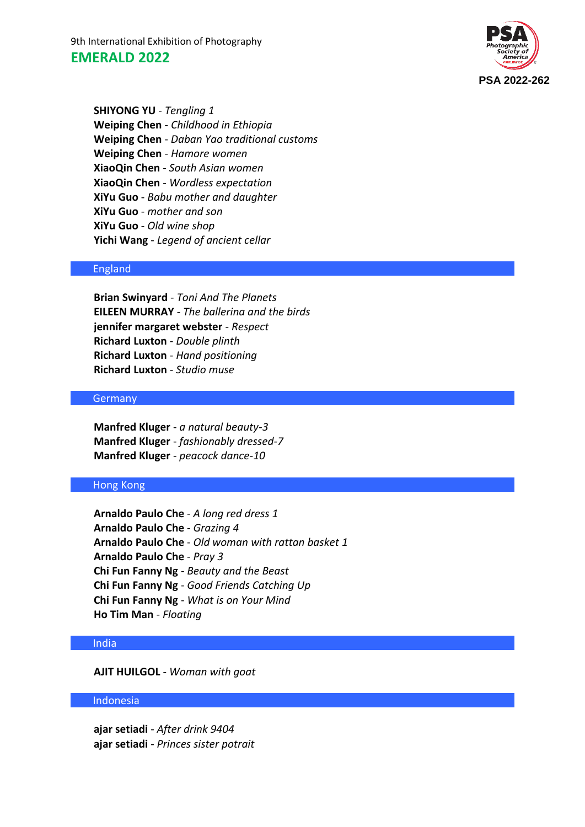9th International Exhibition of Photography **EMERALD 2022**



**SHIYONG YU** - *Tengling 1* **Weiping Chen** - *Childhood in Ethiopia* **Weiping Chen** - *Daban Yao traditional customs* **Weiping Chen** - *Hamore women* **XiaoQin Chen** - *South Asian women* **XiaoQin Chen** - *Wordless expectation* **XiYu Guo** - *Babu mother and daughter* **XiYu Guo** - *mother and son* **XiYu Guo** - *Old wine shop* **Yichi Wang** - *Legend of ancient cellar*

## England

**Brian Swinyard** - *Toni And The Planets* **EILEEN MURRAY** - *The ballerina and the birds* **jennifer margaret webster** - *Respect* **Richard Luxton** - *Double plinth* **Richard Luxton** - *Hand positioning* **Richard Luxton** - *Studio muse*

## **Germany**

**Manfred Kluger** - *a natural beauty-3* **Manfred Kluger** - *fashionably dressed-7* **Manfred Kluger** - *peacock dance-10*

### Hong Kong

**Arnaldo Paulo Che** - *A long red dress 1* **Arnaldo Paulo Che** - *Grazing 4* **Arnaldo Paulo Che** - *Old woman with rattan basket 1* **Arnaldo Paulo Che** - *Pray 3* **Chi Fun Fanny Ng** - *Beauty and the Beast* **Chi Fun Fanny Ng** - *Good Friends Catching Up* **Chi Fun Fanny Ng** - *What is on Your Mind* **Ho Tim Man** - *Floating*

#### India

**AJIT HUILGOL** - *Woman with goat*

## Indonesia

**ajar setiadi** - *After drink 9404* **ajar setiadi** - *Princes sister potrait*